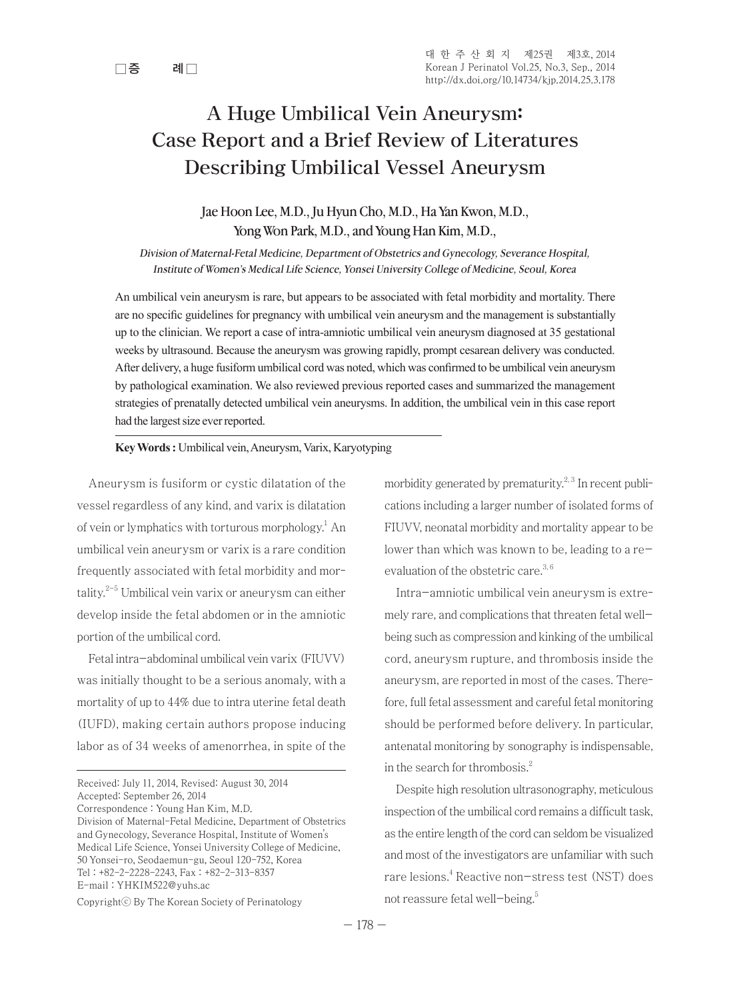# A Huge Umbilical Vein Aneurysm: Case Report and a Brief Review of Literatures Describing Umbilical Vessel Aneurysm

## Jae Hoon Lee, M.D., Ju Hyun Cho, M.D., Ha Yan Kwon, M.D., Yong Won Park, M.D., and Young Han Kim, M.D.,

Division of Maternal-Fetal Medicine, Department of Obstetrics and Gynecology, Severance Hospital, Institute of Women's Medical Life Science, Yonsei University College of Medicine, Seoul, Korea

An umbilical vein aneurysm is rare, but appears to be associated with fetal morbidity and mortality. There are no specific guidelines for pregnancy with umbilical vein aneurysm and the management is substantially up to the clinician. We report a case of intra-amniotic umbilical vein aneurysm diagnosed at 35 gestational weeks by ultrasound. Because the aneurysm was growing rapidly, prompt cesarean delivery was conducted. After delivery, a huge fusiform umbilical cord was noted, which was confirmed to be umbilical vein aneurysm by pathological examination. We also reviewed previous reported cases and summarized the management strategies of prenatally detected umbilical vein aneurysms. In addition, the umbilical vein in this case report had the largest size ever reported.

## **Key Words :** Umbilical vein, Aneurysm, Varix, Karyotyping

Aneurysm is fusiform or cystic dilatation of the vessel regardless of any kind, and varix is dilatation of vein or lymphatics with torturous morphology.<sup>1</sup> An umbilical vein aneurysm or varix is a rare condition frequently associated with fetal morbidity and mortality.2-5 Umbilical vein varix or aneurysm can either develop inside the fetal abdomen or in the amniotic portion of the umbilical cord.

Fetal intra-abdominal umbilical vein varix (FIUVV) was initially thought to be a serious anomaly, with a mortality of up to 44% due to intra uterine fetal death (IUFD), making certain authors propose inducing labor as of 34 weeks of amenorrhea, in spite of the

morbidity generated by prematurity.<sup>2, 3</sup> In recent publications including a larger number of isolated forms of FIUVV, neonatal morbidity and mortality appear to be lower than which was known to be, leading to a reevaluation of the obstetric care.<sup>3,6</sup>

Intra-amniotic umbilical vein aneurysm is extremely rare, and complications that threaten fetal wellbeing such as compression and kinking of the umbilical cord, aneurysm rupture, and thrombosis inside the aneurysm, are reported in most of the cases. Therefore, full fetal assessment and careful fetal monitoring should be performed before delivery. In particular, antenatal monitoring by sonography is indispensable, in the search for thrombosis. $2^2$ 

Despite high resolution ultrasonography, meticulous inspection of the umbilical cord remains a difficult task, as the entire length of the cord can seldom be visualized and most of the investigators are unfamiliar with such rare lesions.4 Reactive non-stress test (NST) does not reassure fetal well-being.5

Received: July 11, 2014, Revised: August 30, 2014 Accepted: September 26, 2014 Correspondence : Young Han Kim, M.D. Division of Maternal-Fetal Medicine, Department of Obstetrics and Gynecology, Severance Hospital, Institute of Women's Medical Life Science, Yonsei University College of Medicine, 50 Yonsei-ro, Seodaemun-gu, Seoul 120-752, Korea Tel : +82-2-2228-2243, Fax : +82-2-313-8357 E-mail : YHKIM522@yuhs.ac

Copyrightⓒ By The Korean Society of Perinatology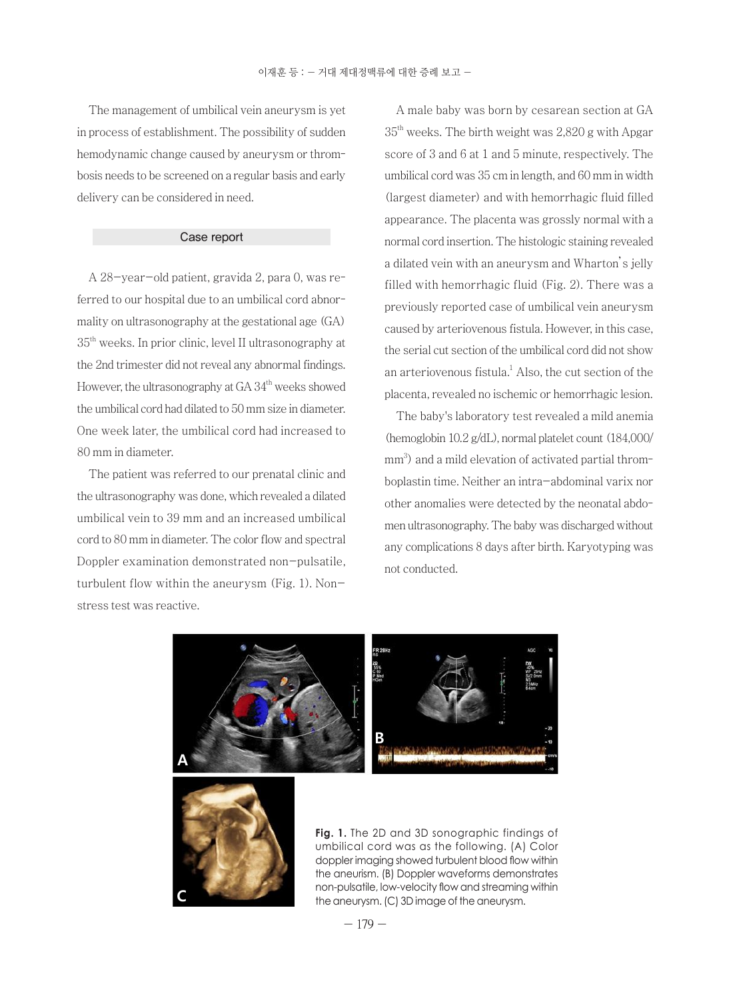The management of umbilical vein aneurysm is yet in process of establishment. The possibility of sudden hemodynamic change caused by aneurysm or thrombosis needs to be screened on a regular basis and early delivery can be considered in need.

## Case report

A 28-year-old patient, gravida 2, para 0, was referred to our hospital due to an umbilical cord abnormality on ultrasonography at the gestational age (GA) 35th weeks. In prior clinic, level II ultrasonography at the 2nd trimester did not reveal any abnormal findings. However, the ultrasonography at  $GA\,34<sup>th</sup>$  weeks showed the umbilical cord had dilated to 50 mm size in diameter. One week later, the umbilical cord had increased to 80 mm in diameter.

The patient was referred to our prenatal clinic and the ultrasonography was done, which revealed a dilated umbilical vein to 39 mm and an increased umbilical cord to 80 mm in diameter. The color flow and spectral Doppler examination demonstrated non-pulsatile, turbulent flow within the aneurysm (Fig. 1). Nonstress test was reactive.

A male baby was born by cesarean section at GA  $35<sup>th</sup>$  weeks. The birth weight was 2,820 g with Apgar score of 3 and 6 at 1 and 5 minute, respectively. The umbilical cord was 35 cm in length, and 60 mm in width (largest diameter) and with hemorrhagic fluid filled appearance. The placenta was grossly normal with a normal cord insertion. The histologic staining revealed a dilated vein with an aneurysm and Wharton's jelly filled with hemorrhagic fluid (Fig. 2). There was a previously reported case of umbilical vein aneurysm caused by arteriovenous fistula. However, in this case, the serial cut section of the umbilical cord did not show an arteriovenous fistula. $<sup>1</sup>$  Also, the cut section of the</sup> placenta, revealed no ischemic or hemorrhagic lesion.

The baby's laboratory test revealed a mild anemia (hemoglobin 10.2 g/dL), normal platelet count (184,000/ mm<sup>3</sup>) and a mild elevation of activated partial thromboplastin time. Neither an intra-abdominal varix nor other anomalies were detected by the neonatal abdomen ultrasonography. The baby was discharged without any complications 8 days after birth. Karyotyping was not conducted.





**Fig. 1.** The 2D and 3D sonographic findings of umbilical cord was as the following. (A) Color doppler imaging showed turbulent blood flow within the aneurism. (B) Doppler waveforms demonstrates non-pulsatile, low-velocity flow and streaming within the aneurysm. (C) 3D image of the aneurysm.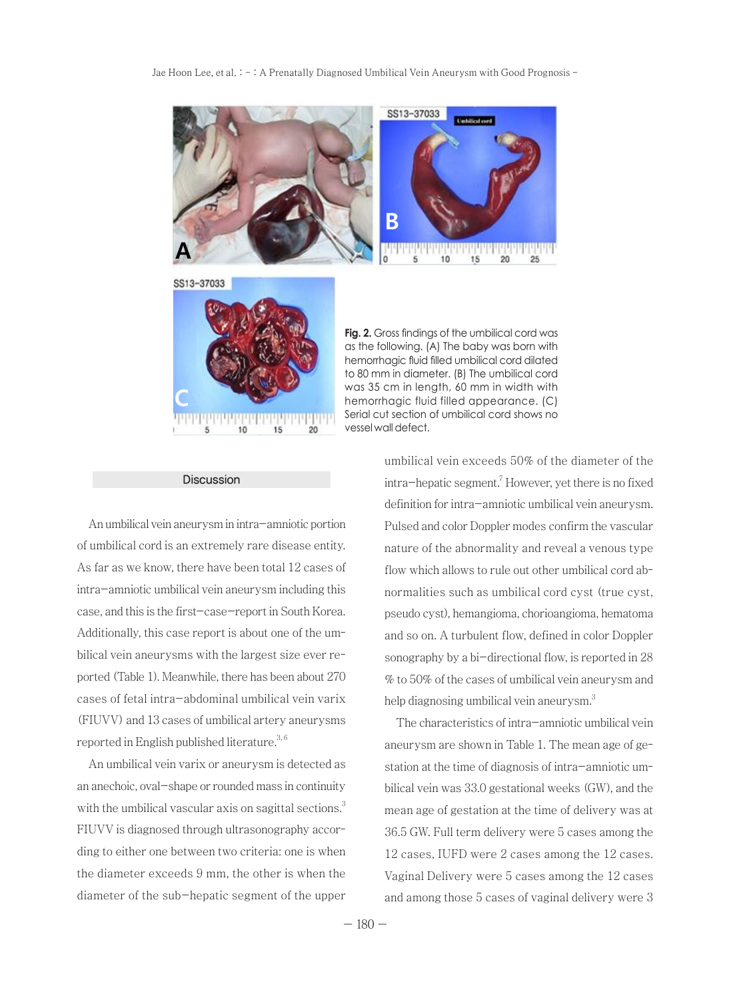Jae Hoon Lee, et al. : - : A Prenatally Diagnosed Umbilical Vein Aneurysm with Good Prognosis -





#### Discussion

An umbilical vein aneurysm in intra-amniotic portion of umbilical cord is an extremely rare disease entity. As far as we know, there have been total 12 cases of intra-amniotic umbilical vein aneurysm including this case, and this is the first-case-report in South Korea. Additionally, this case report is about one of the umbilical vein aneurysms with the largest size ever reported (Table 1). Meanwhile, there has been about 270 cases of fetal intra-abdominal umbilical vein varix (FIUVV) and 13 cases of umbilical artery aneurysms reported in English published literature.<sup>3, 6</sup>

An umbilical vein varix or aneurysm is detected as an anechoic, oval-shape or rounded mass in continuity with the umbilical vascular axis on sagittal sections.<sup>3</sup> FIUVV is diagnosed through ultrasonography according to either one between two criteria: one is when the diameter exceeds 9 mm, the other is when the diameter of the sub-hepatic segment of the upper

**Fig. 2.** Gross findings of the umbilical cord was as the following. (A) The baby was born with hemorrhagic fluid filled umbilical cord dilated to 80 mm in diameter. (B) The umbilical cord was 35 cm in length, 60 mm in width with hemorrhagic fluid filled appearance. (C) Serial cut section of umbilical cord shows no vessel wall defect.

umbilical vein exceeds 50% of the diameter of the intra-hepatic segment.7 However, yet there is no fixed definition for intra-amniotic umbilical vein aneurysm. Pulsed and color Doppler modes confirm the vascular nature of the abnormality and reveal a venous type flow which allows to rule out other umbilical cord abnormalities such as umbilical cord cyst (true cyst, pseudo cyst), hemangioma, chorioangioma, hematoma and so on. A turbulent flow, defined in color Doppler sonography by a bi-directional flow, is reported in 28 % to 50% of the cases of umbilical vein aneurysm and help diagnosing umbilical vein aneurysm. $3$ 

The characteristics of intra-amniotic umbilical vein aneurysm are shown in Table 1. The mean age of gestation at the time of diagnosis of intra-amniotic umbilical vein was 33.0 gestational weeks (GW), and the mean age of gestation at the time of delivery was at 36.5 GW. Full term delivery were 5 cases among the 12 cases, IUFD were 2 cases among the 12 cases. Vaginal Delivery were 5 cases among the 12 cases and among those 5 cases of vaginal delivery were 3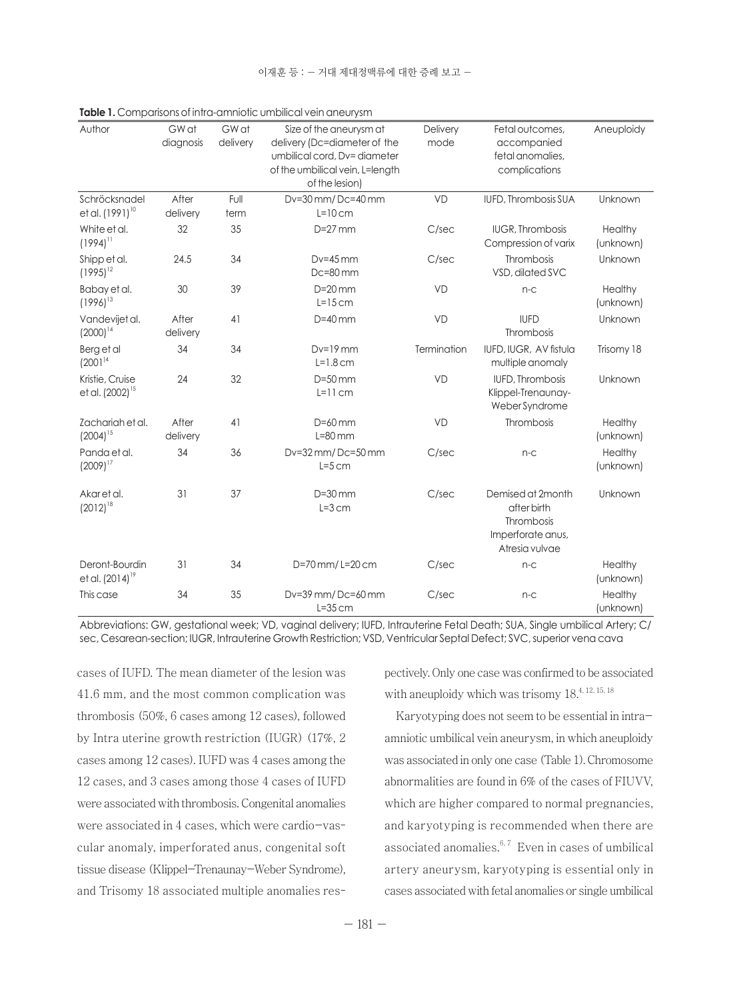| Author                                  | GW at<br>diagnosis | GW at<br>delivery | Size of the aneurysm at<br>delivery (Dc=diameter of the<br>umbilical cord, Dv=diameter<br>of the umbilical vein, L=length<br>of the lesion) | Delivery<br>mode | Fetal outcomes,<br>accompanied<br>fetal anomalies.<br>complications                   | Aneuploidy           |
|-----------------------------------------|--------------------|-------------------|---------------------------------------------------------------------------------------------------------------------------------------------|------------------|---------------------------------------------------------------------------------------|----------------------|
| Schröcksnadel<br>et al. $(1991)^{10}$   | After<br>delivery  | Full<br>term      | Dv=30 mm/Dc=40 mm<br>$L=10$ cm                                                                                                              | <b>VD</b>        | IUFD, Thrombosis SUA                                                                  | Unknown              |
| White et al.<br>$(1994)$ <sup>11</sup>  | 32                 | 35                | $D=27$ mm                                                                                                                                   | C/sec            | <b>IUGR, Thrombosis</b><br>Compression of varix                                       | Healthy<br>(unknown) |
| Shipp et al.<br>$(1995)^{12}$           | 24.5               | 34                | $Dv=45$ mm<br>$Dc = 80$ mm                                                                                                                  | C/sec            | Thrombosis<br>VSD, dilated SVC                                                        | Unknown              |
| Babay et al.<br>$(1996)^{13}$           | 30                 | 39                | $D=20$ mm<br>$L=15$ cm                                                                                                                      | <b>VD</b>        | $n-c$                                                                                 | Healthy<br>(unknown) |
| Vandeviiet al.<br>$(2000)^{14}$         | After<br>delivery  | 41                | $D=40$ mm                                                                                                                                   | VD               | <b>IUFD</b><br>Thrombosis                                                             | Unknown              |
| Berg et al<br>(2001) <sup>14</sup>      | 34                 | 34                | $Dv=19$ mm<br>$L=1.8$ cm                                                                                                                    | Termination      | IUFD, IUGR, AV fistula<br>multiple anomaly                                            | Trisomy 18           |
| Kristie, Cruise<br>et al. $(2002)^{15}$ | 24                 | 32                | $D=50$ mm<br>$L=11$ cm                                                                                                                      | VD               | <b>IUFD, Thrombosis</b><br>Klippel-Trenaunay-<br>Weber Syndrome                       | Unknown              |
| Zachariah et al.<br>$(2004)^{15}$       | After<br>delivery  | 41                | $D=60$ mm<br>$L=80$ mm                                                                                                                      | VD               | Thrombosis                                                                            | Healthy<br>(unknown) |
| Panda et al.<br>$(2009)^{17}$           | 34                 | 36                | Dv=32 mm/Dc=50 mm<br>$L=5$ cm                                                                                                               | C/sec            | $n-c$                                                                                 | Healthy<br>(unknown) |
| Akaretal.<br>$(2012)^{18}$              | 31                 | 37                | $D=30$ mm<br>$L=3$ cm                                                                                                                       | C/sec            | Demised at 2month<br>after birth<br>Thrombosis<br>Imperforate anus,<br>Atresia vulvae | Unknown              |
| Deront-Bourdin<br>et al. $(2014)^{19}$  | 31                 | 34                | D=70 mm/L=20 cm                                                                                                                             | C/sec            | $n-c$                                                                                 | Healthy<br>(unknown) |
| This case                               | 34                 | 35                | Dv=39 mm/Dc=60 mm<br>$L = 35$ cm                                                                                                            | C/sec            | $n-c$                                                                                 | Healthy<br>(unknown) |

**Table 1.** Comparisons of intra-amniotic umbilical vein aneurysm

Abbreviations: GW, gestational week; VD, vaginal delivery; IUFD, Intrauterine Fetal Death; SUA, Single umbilical Artery; C/ sec, Cesarean-section; IUGR, Intrauterine Growth Restriction; VSD, Ventricular Septal Defect; SVC, superior vena cava

cases of IUFD. The mean diameter of the lesion was 41.6 mm, and the most common complication was thrombosis (50%, 6 cases among 12 cases), followed by Intra uterine growth restriction (IUGR) (17%, 2 cases among 12 cases). IUFD was 4 cases among the 12 cases, and 3 cases among those 4 cases of IUFD were associated with thrombosis. Congenital anomalies were associated in 4 cases, which were cardio-vascular anomaly, imperforated anus, congenital soft tissue disease (Klippel-Trenaunay-Weber Syndrome), and Trisomy 18 associated multiple anomalies respectively. Only one case was confirmed to be associated with aneuploidy which was trisomy  $18^{4, 12, 15, 18}$ 

Karyotyping does not seem to be essential in intraamniotic umbilical vein aneurysm, in which aneuploidy was associated in only one case (Table 1). Chromosome abnormalities are found in 6% of the cases of FIUVV, which are higher compared to normal pregnancies, and karyotyping is recommended when there are associated anomalies. $6, 7$  Even in cases of umbilical artery aneurysm, karyotyping is essential only in cases associated with fetal anomalies or single umbilical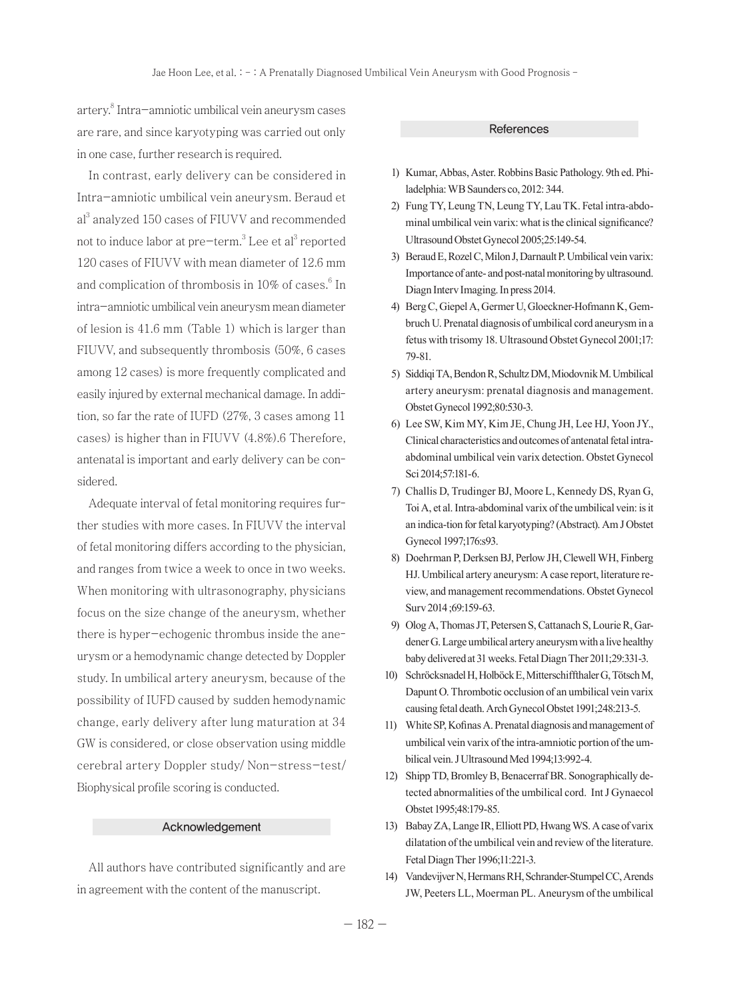artery.<sup>8</sup> Intra-amniotic umbilical vein aneurysm cases are rare, and since karyotyping was carried out only in one case, further research is required.

In contrast, early delivery can be considered in Intra-amniotic umbilical vein aneurysm. Beraud et al<sup>3</sup> analyzed 150 cases of FIUVV and recommended not to induce labor at pre-term.<sup>3</sup> Lee et al<sup>3</sup> reported 120 cases of FIUVV with mean diameter of 12.6 mm and complication of thrombosis in 10% of cases.<sup>6</sup> In intra-amniotic umbilical vein aneurysm mean diameter of lesion is 41.6 mm (Table 1) which is larger than FIUVV, and subsequently thrombosis (50%, 6 cases among 12 cases) is more frequently complicated and easily injured by external mechanical damage. In addition, so far the rate of IUFD (27%, 3 cases among 11 cases) is higher than in FIUVV (4.8%).6 Therefore, antenatal is important and early delivery can be considered.

Adequate interval of fetal monitoring requires further studies with more cases. In FIUVV the interval of fetal monitoring differs according to the physician, and ranges from twice a week to once in two weeks. When monitoring with ultrasonography, physicians focus on the size change of the aneurysm, whether there is hyper-echogenic thrombus inside the aneurysm or a hemodynamic change detected by Doppler study. In umbilical artery aneurysm, because of the possibility of IUFD caused by sudden hemodynamic change, early delivery after lung maturation at 34 GW is considered, or close observation using middle cerebral artery Doppler study/ Non-stress-test/ Biophysical profile scoring is conducted.

#### Acknowledgement

All authors have contributed significantly and are in agreement with the content of the manuscript.

#### **References**

- 1) Kumar, Abbas, Aster. Robbins Basic Pathology. 9th ed. Philadelphia: WB Saunders co, 2012: 344.
- 2) Fung TY, Leung TN, Leung TY, Lau TK. Fetal intra-abdominal umbilical vein varix: what is the clinical significance? Ultrasound Obstet Gynecol 2005;25:149-54.
- 3) Beraud E, Rozel C, Milon J, Darnault P. Umbilical vein varix: Importance of ante- and post-natal monitoring by ultrasound. Diagn Interv Imaging. In press 2014.
- 4) Berg C, Giepel A, Germer U, Gloeckner-Hofmann K, Gembruch U. Prenatal diagnosis of umbilical cord aneurysm in a fetus with trisomy 18. Ultrasound Obstet Gynecol 2001;17: 79-81.
- 5) Siddiqi TA, Bendon R, Schultz DM, Miodovnik M. Umbilical artery aneurysm: prenatal diagnosis and management. Obstet Gynecol 1992;80:530-3.
- 6) Lee SW, Kim MY, Kim JE, Chung JH, Lee HJ, Yoon JY., Clinical characteristics and outcomes of antenatal fetal intraabdominal umbilical vein varix detection. Obstet Gynecol Sci 2014;57:181-6.
- 7) Challis D, Trudinger BJ, Moore L, Kennedy DS, Ryan G, Toi A, et al. Intra-abdominal varix of the umbilical vein: is it an indica-tion for fetal karyotyping? (Abstract). Am J Obstet Gynecol 1997;176:s93.
- 8) Doehrman P, Derksen BJ, Perlow JH, Clewell WH, Finberg HJ. Umbilical artery aneurysm: A case report, literature review, and management recommendations. Obstet Gynecol Surv 2014 ;69:159-63.
- 9) Olog A, Thomas JT, Petersen S, Cattanach S, Lourie R, Gardener G. Large umbilical artery aneurysm with a live healthy baby delivered at 31 weeks. Fetal Diagn Ther 2011;29:331-3.
- 10) Schröcksnadel H, Holböck E, Mitterschiffthaler G, Tötsch M, Dapunt O. Thrombotic occlusion of an umbilical vein varix causing fetal death. Arch Gynecol Obstet 1991;248:213-5.
- 11) White SP, Kofinas A. Prenatal diagnosis and management of umbilical vein varix of the intra-amniotic portion of the umbilical vein. J Ultrasound Med 1994;13:992-4.
- 12) Shipp TD, Bromley B, Benacerraf BR. Sonographically detected abnormalities of the umbilical cord. Int J Gynaecol Obstet 1995;48:179-85.
- 13) Babay ZA, Lange IR, Elliott PD, Hwang WS. A case of varix dilatation of the umbilical vein and review of the literature. Fetal Diagn Ther 1996;11:221-3.
- 14) Vandevijver N, Hermans RH, Schrander-Stumpel CC, Arends JW, Peeters LL, Moerman PL. Aneurysm of the umbilical